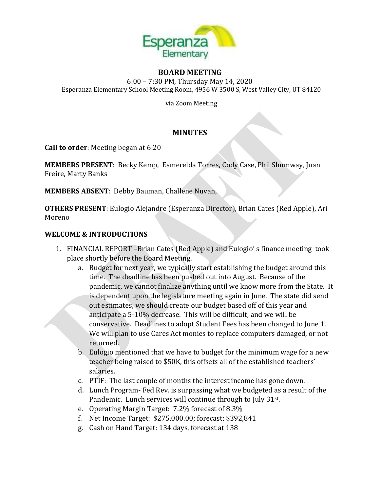

### **BOARD MEETING**

6:00 – 7:30 PM, Thursday May 14, 2020 Esperanza Elementary School Meeting Room, 4956 W 3500 S, West Valley City, UT 84120

via Zoom Meeting

# **MINUTES**

**Call to order**: Meeting began at 6:20

**MEMBERS PRESENT**: Becky Kemp, Esmerelda Torres, Cody Case, Phil Shumway, Juan Freire, Marty Banks

**MEMBERS ABSENT**: Debby Bauman, Challene Nuvan,

**OTHERS PRESENT**: Eulogio Alejandre (Esperanza Director), Brian Cates (Red Apple), Ari Moreno

## **WELCOME & INTRODUCTIONS**

- 1. FINANCIAL REPORT –Brian Cates (Red Apple) and Eulogio' s finance meeting took place shortly before the Board Meeting.
	- a. Budget for next year, we typically start establishing the budget around this time. The deadline has been pushed out into August. Because of the pandemic, we cannot finalize anything until we know more from the State. It is dependent upon the legislature meeting again in June. The state did send out estimates, we should create our budget based off of this year and anticipate a 5-10% decrease. This will be difficult; and we will be conservative. Deadlines to adopt Student Fees has been changed to June 1. We will plan to use Cares Act monies to replace computers damaged, or not returned.
	- b. Eulogio mentioned that we have to budget for the minimum wage for a new teacher being raised to \$50K, this offsets all of the established teachers' salaries.
	- c. PTIF: The last couple of months the interest income has gone down.
	- d. Lunch Program- Fed Rev. is surpassing what we budgeted as a result of the Pandemic. Lunch services will continue through to July 31<sup>st</sup>.
	- e. Operating Margin Target: 7.2% forecast of 8.3%
	- f. Net Income Target: \$275,000.00; forecast: \$392,841
	- g. Cash on Hand Target: 134 days, forecast at 138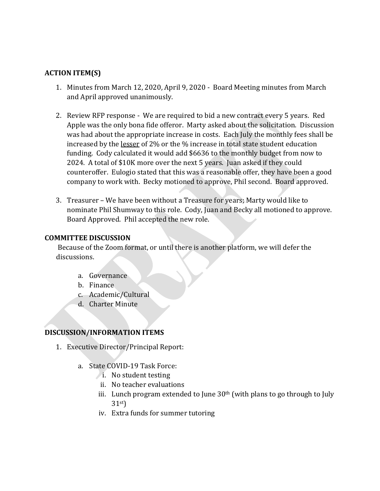## **ACTION ITEM(S)**

- 1. Minutes from March 12, 2020, April 9, 2020 Board Meeting minutes from March and April approved unanimously.
- 2. Review RFP response We are required to bid a new contract every 5 years. Red Apple was the only bona fide offeror. Marty asked about the solicitation. Discussion was had about the appropriate increase in costs. Each July the monthly fees shall be increased by the lesser of 2% or the % increase in total state student education funding. Cody calculated it would add \$6636 to the monthly budget from now to 2024. A total of \$10K more over the next 5 years. Juan asked if they could counteroffer. Eulogio stated that this was a reasonable offer, they have been a good company to work with. Becky motioned to approve, Phil second. Board approved.
- 3. Treasurer We have been without a Treasure for years; Marty would like to nominate Phil Shumway to this role. Cody, Juan and Becky all motioned to approve. Board Approved. Phil accepted the new role.

#### **COMMITTEE DISCUSSION**

Because of the Zoom format, or until there is another platform, we will defer the discussions.

- a. Governance
- b. Finance
- c. Academic/Cultural
- d. Charter Minute

## **DISCUSSION/INFORMATION ITEMS**

- 1. Executive Director/Principal Report:
	- a. State COVID-19 Task Force:
		- i. No student testing
			- ii. No teacher evaluations
		- iii. Lunch program extended to June  $30<sup>th</sup>$  (with plans to go through to July 31st)
		- iv. Extra funds for summer tutoring